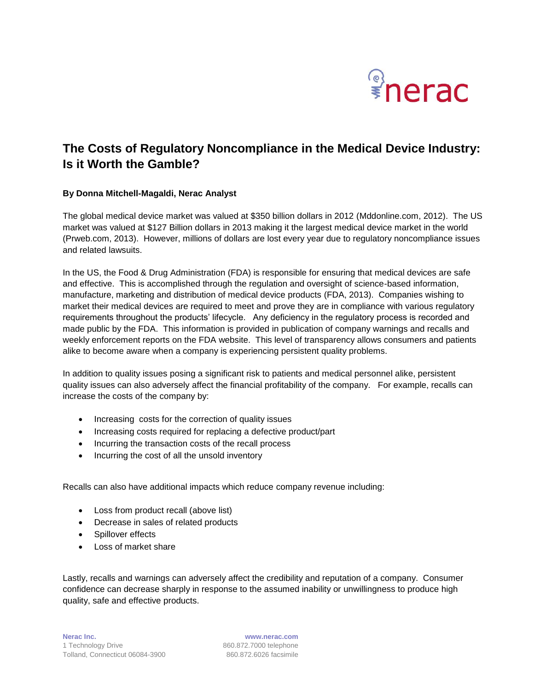

# **The Costs of Regulatory Noncompliance in the Medical Device Industry: Is it Worth the Gamble?**

### **By Donna Mitchell-Magaldi, Nerac Analyst**

The global medical device market was valued at \$350 billion dollars in 2012 (Mddonline.com, 2012). The US market was valued at \$127 Billion dollars in 2013 making it the largest medical device market in the world (Prweb.com, 2013). However, millions of dollars are lost every year due to regulatory noncompliance issues and related lawsuits.

In the US, the Food & Drug Administration (FDA) is responsible for ensuring that medical devices are safe and effective. This is accomplished through the regulation and oversight of science-based information, manufacture, marketing and distribution of medical device products (FDA, 2013). Companies wishing to market their medical devices are required to meet and prove they are in compliance with various regulatory requirements throughout the products' lifecycle. Any deficiency in the regulatory process is recorded and made public by the FDA. This information is provided in publication of company warnings and recalls and weekly enforcement reports on the FDA website. This level of transparency allows consumers and patients alike to become aware when a company is experiencing persistent quality problems.

In addition to quality issues posing a significant risk to patients and medical personnel alike, persistent quality issues can also adversely affect the financial profitability of the company. For example, recalls can increase the costs of the company by:

- Increasing costs for the correction of quality issues
- Increasing costs required for replacing a defective product/part
- Incurring the transaction costs of the recall process
- Incurring the cost of all the unsold inventory

Recalls can also have additional impacts which reduce company revenue including:

- Loss from product recall (above list)
- Decrease in sales of related products
- Spillover effects
- Loss of market share

Lastly, recalls and warnings can adversely affect the credibility and reputation of a company. Consumer confidence can decrease sharply in response to the assumed inability or unwillingness to produce high quality, safe and effective products.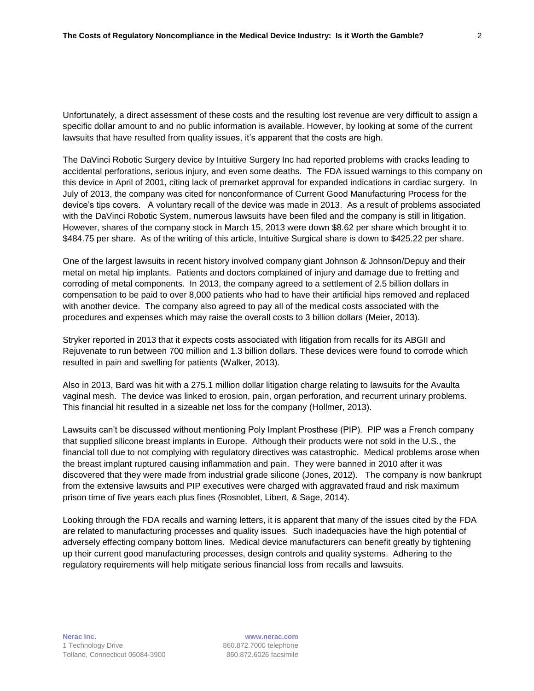Unfortunately, a direct assessment of these costs and the resulting lost revenue are very difficult to assign a specific dollar amount to and no public information is available. However, by looking at some of the current lawsuits that have resulted from quality issues, it's apparent that the costs are high.

The DaVinci Robotic Surgery device by Intuitive Surgery Inc had reported problems with cracks leading to accidental perforations, serious injury, and even some deaths. The FDA issued warnings to this company on this device in April of 2001, citing lack of premarket approval for expanded indications in cardiac surgery. In July of 2013, the company was cited for nonconformance of Current Good Manufacturing Process for the device's tips covers. A voluntary recall of the device was made in 2013. As a result of problems associated with the DaVinci Robotic System, numerous lawsuits have been filed and the company is still in litigation. However, shares of the company stock in March 15, 2013 were down \$8.62 per share which brought it to \$484.75 per share. As of the writing of this article, Intuitive Surgical share is down to \$425.22 per share.

One of the largest lawsuits in recent history involved company giant Johnson & Johnson/Depuy and their metal on metal hip implants. Patients and doctors complained of injury and damage due to fretting and corroding of metal components. In 2013, the company agreed to a settlement of 2.5 billion dollars in compensation to be paid to over 8,000 patients who had to have their artificial hips removed and replaced with another device. The company also agreed to pay all of the medical costs associated with the procedures and expenses which may raise the overall costs to 3 billion dollars (Meier, 2013).

Stryker reported in 2013 that it expects costs associated with litigation from recalls for its ABGII and Rejuvenate to run between 700 million and 1.3 billion dollars. These devices were found to corrode which resulted in pain and swelling for patients (Walker, 2013).

Also in 2013, Bard was hit with a 275.1 million dollar litigation charge relating to lawsuits for the Avaulta vaginal mesh. The device was linked to erosion, pain, organ perforation, and recurrent urinary problems. This financial hit resulted in a sizeable net loss for the company (Hollmer, 2013).

Lawsuits can't be discussed without mentioning Poly Implant Prosthese (PIP). PIP was a French company that supplied silicone breast implants in Europe. Although their products were not sold in the U.S., the financial toll due to not complying with regulatory directives was catastrophic. Medical problems arose when the breast implant ruptured causing inflammation and pain. They were banned in 2010 after it was discovered that they were made from industrial grade silicone (Jones, 2012). The company is now bankrupt from the extensive lawsuits and PIP executives were charged with aggravated fraud and risk maximum prison time of five years each plus fines (Rosnoblet, Libert, & Sage, 2014).

Looking through the FDA recalls and warning letters, it is apparent that many of the issues cited by the FDA are related to manufacturing processes and quality issues. Such inadequacies have the high potential of adversely effecting company bottom lines. Medical device manufacturers can benefit greatly by tightening up their current good manufacturing processes, design controls and quality systems. Adhering to the regulatory requirements will help mitigate serious financial loss from recalls and lawsuits.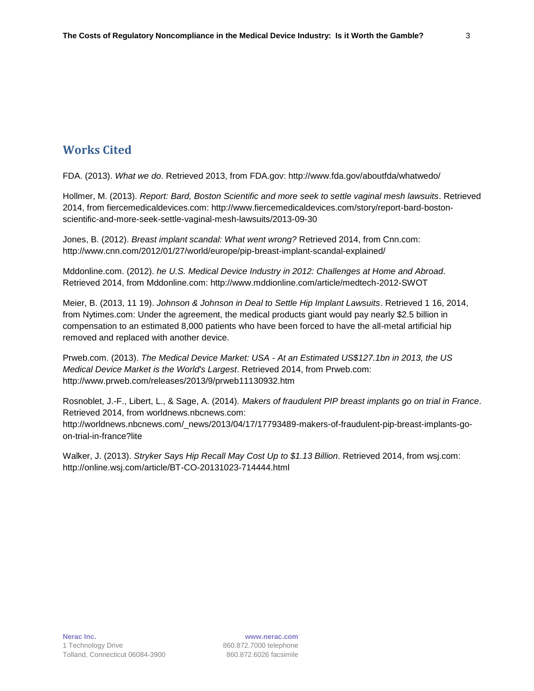## **Works Cited**

FDA. (2013). *What we do*. Retrieved 2013, from FDA.gov: http://www.fda.gov/aboutfda/whatwedo/

Hollmer, M. (2013). *Report: Bard, Boston Scientific and more seek to settle vaginal mesh lawsuits*. Retrieved 2014, from fiercemedicaldevices.com: http://www.fiercemedicaldevices.com/story/report-bard-bostonscientific-and-more-seek-settle-vaginal-mesh-lawsuits/2013-09-30

Jones, B. (2012). *Breast implant scandal: What went wrong?* Retrieved 2014, from Cnn.com: http://www.cnn.com/2012/01/27/world/europe/pip-breast-implant-scandal-explained/

Mddonline.com. (2012). *he U.S. Medical Device Industry in 2012: Challenges at Home and Abroad*. Retrieved 2014, from Mddonline.com: http://www.mddionline.com/article/medtech-2012-SWOT

Meier, B. (2013, 11 19). *Johnson & Johnson in Deal to Settle Hip Implant Lawsuits*. Retrieved 1 16, 2014, from Nytimes.com: Under the agreement, the medical products giant would pay nearly \$2.5 billion in compensation to an estimated 8,000 patients who have been forced to have the all-metal artificial hip removed and replaced with another device.

Prweb.com. (2013). *The Medical Device Market: USA - At an Estimated US\$127.1bn in 2013, the US Medical Device Market is the World's Largest*. Retrieved 2014, from Prweb.com: http://www.prweb.com/releases/2013/9/prweb11130932.htm

Rosnoblet, J.-F., Libert, L., & Sage, A. (2014). *Makers of fraudulent PIP breast implants go on trial in France*. Retrieved 2014, from worldnews.nbcnews.com: http://worldnews.nbcnews.com/\_news/2013/04/17/17793489-makers-of-fraudulent-pip-breast-implants-goon-trial-in-france?lite

Walker, J. (2013). *Stryker Says Hip Recall May Cost Up to \$1.13 Billion*. Retrieved 2014, from wsj.com: http://online.wsj.com/article/BT-CO-20131023-714444.html